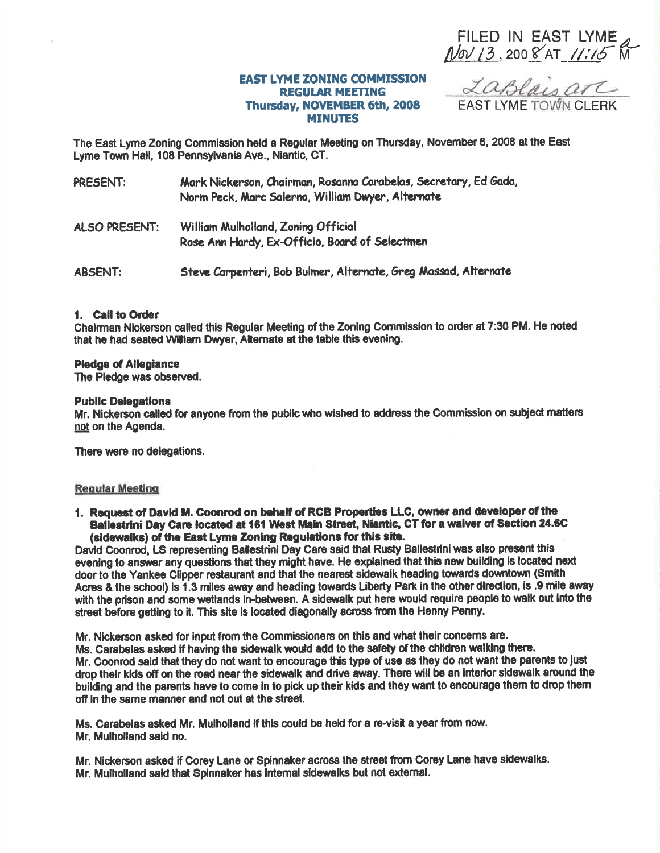FILED IN EAST LYME<br>
Nov 13, 2008 AT 11:15 M

## **EAST LYME ZONING COMMISSION REGULAR MEETING** Thursday, NOVEMBER 6th, 2008 **MINUTES**

LaBlaisarc

The East Lyme Zoning Commission held a Regular Meeting on Thursday, November 6, 2008 at the East Lyme Town Hall, 108 Pennsylvania Ave., Niantic, CT.

| PRESENT: | Mark Nickerson, Chairman, Rosanna Carabelas, Secretary, Ed Gada, |
|----------|------------------------------------------------------------------|
|          | Norm Peck, Marc Salerno, William Dwyer, Alternate                |

William Mulholland, Zoning Official **ALSO PRESENT:** Rose Ann Hardy, Ex-Officio, Board of Selectmen

Steve Carpenteri, Bob Bulmer, Alternate, Greg Massad, Alternate **ABSENT:** 

#### 1. Call to Order

Chairman Nickerson called this Regular Meeting of the Zoning Commission to order at 7:30 PM. He noted that he had seated William Dwyer, Alternate at the table this evening.

#### **Pledge of Allegiance**

The Pledge was observed.

#### **Public Delegations**

Mr. Nickerson called for anyone from the public who wished to address the Commission on subject matters not on the Agenda.

There were no delegations.

## **Regular Meeting**

1. Request of David M. Coonrod on behalf of RCB Properties LLC, owner and developer of the Ballestrini Day Care located at 161 West Main Street, Niantic, CT for a waiver of Section 24.6C (sidewalks) of the East Lyme Zoning Regulations for this site.

David Coonrod, LS representing Ballestrini Day Care said that Rusty Ballestrini was also present this evening to answer any questions that they might have. He explained that this new building is located next door to the Yankee Clipper restaurant and that the nearest sidewalk heading towards downtown (Smith Acres & the school) is 1.3 miles away and heading towards Liberty Park in the other direction, is .9 mile away with the prison and some wetlands in-between. A sidewalk put here would require people to walk out into the street before getting to it. This site is located diagonally across from the Henny Penny.

Mr. Nickerson asked for input from the Commissioners on this and what their concerns are. Ms. Carabelas asked if having the sidewalk would add to the safety of the children walking there. Mr. Coonrod said that they do not want to encourage this type of use as they do not want the parents to just drop their kids off on the road near the sidewalk and drive away. There will be an interior sidewalk around the building and the parents have to come in to pick up their kids and they want to encourage them to drop them off in the same manner and not out at the street.

Ms. Carabelas asked Mr. Mulholland if this could be held for a re-visit a year from now. Mr. Mulholland said no.

Mr. Nickerson asked if Corey Lane or Spinnaker across the street from Corey Lane have sidewalks. Mr. Mulholland said that Spinnaker has Internal sidewalks but not external.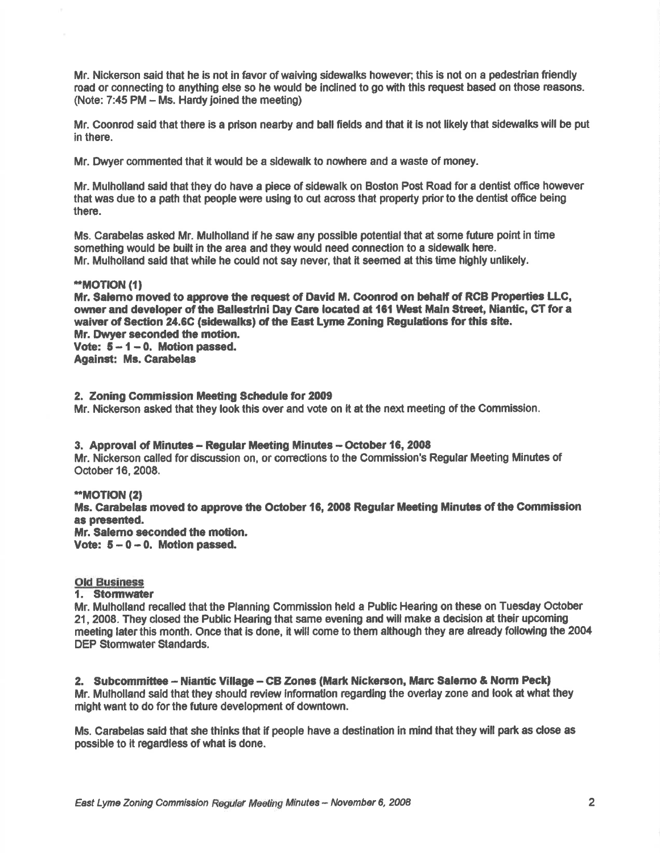Mr. Nickerson said that he is not in favor of waiving sidewalks however; this is not on a pedestrian friendly road or connecting to anything else so he would be inclined to go with this request based on those reesons. (Note: 7:45 PM - Ms. Hardy joined the meeting)

Mr. Coonrod said that there is a prison nearby and ball fields and that it ls not llkely that sidewalks will be put in there.

Mr. Dwyer commented that it would be a sidewalk to nowhere and a waste of money.

Mr. Mulholland said that they do have a piece of sidewalk on Boston Post Road for a dentist office however that was due to a path that people were using to cut across that property prior to the dentist office being there.

Ms. Garabelas asked Mr. Mulholland if he saw any possible potentialthat at some future point in time something would be built in the area and they would need connection to a sidewalk here. Mr. Mulholland said that while he could not say never, that it seemed at this time highly unlikely.

#### \*MOTION ({}

Mr. Salemo moved to approve the request of David M. Coonrod on behalf of RCB Properties LLC, owner and developer of the Ballestrini Day Care located at 161 West Main Street, Niantic, CT for a waiver of Section 24.6C (sidewalks) of the East Lyme Zoning Regulations for this site. Mr. Dwyer seconded the motion. Vote:  $5 - 1 - 0$ . Motion passed. Agalnet: Ms. Carabelas

2. Zoning Gommission Meedng Schedule for 2009 Mr. Nickerson asked that they look this over and vote on it at the next meeting of the Commisslon.

## 3. Approval of Minutes - Regular Meeting Minutes - October 16, 2008

Mr. Nickerson called for discussion on, or corrections to the Commission's Regular Meeting Minutes of October 16, 2008.

\*MOT|ON (21 Ms. Carabelas moved to approve the October 16, 2008 Regular Meeting Minutes of the Commission as presented. Mr. Salemo seconded the motion. Vote:  $5-0-0$ . Motion passed.

# **Old Business**

#### 1. Stomwater

Mr. Mulhollend recalled that the Planning Commlssion held a Publlc Hearing on these on Tuesday October 21, 2008. They closed the Public Hearing that same evening and will make a decision at their upcoming meeting later this month. Once that is done, it will come to them although they are already following the 2004 DEP Stormwater Standards.

2. Subcommittee - Niantic Village - CB Zones (Mark Nickerson, Marc Salerno & Norm Peck) Mr. Mulholland said that they should review information regarding the overlay zone and look at what they might want to do forthe future development of downtown.

Ms. Carabelas sald thet she thlnks that if people have a destination in mind that they will part as close as possible to it regardless of what is done.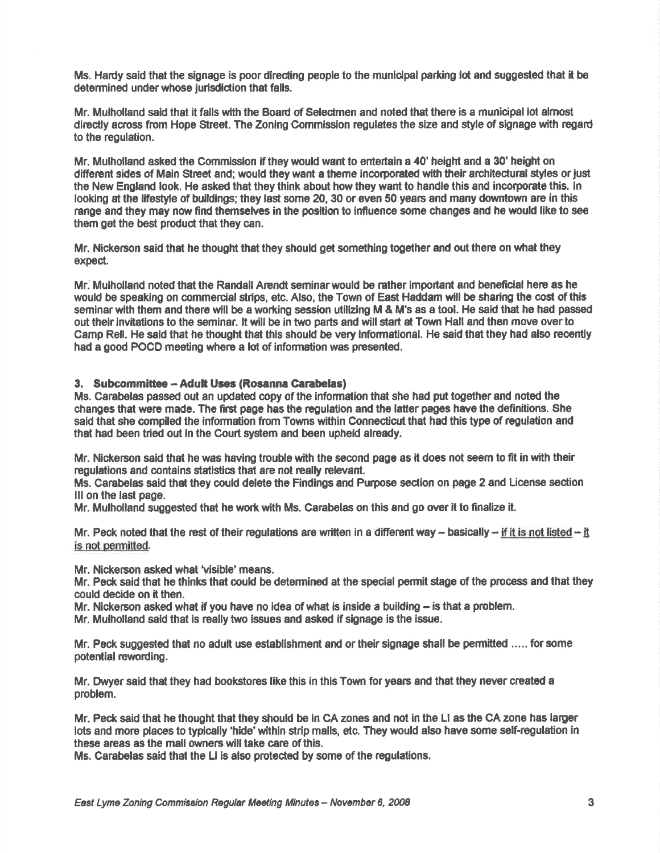Ms. Hardy said that the signage is poor directing people to the municipal parking lot and suggested that it be determined under whose jurisdiction that falls.

Mr. Mulholland said that it falls with the Board of Selectmen and noted that there is a municipal lot almost directly across from Hope Street. The Zoning Commission regulates the size and style of signage with regard to the regulation.

Mr. Mulholland asked the Gommission if they would went to entertain a 40' height and a 30' height on different sides of Main Street and; would they want a theme incorporated with their architectural styles or just the New England look. He asked that they think about how they want to handle this and incorporate this. ln looking at the lifestyle of buildings; they last some 20, 30 or even 50 years and many downtown are in this range and they may now find themselves in the position to influence some changes and he would like to see them get the best product that they can.

Mr. Nickerson said that he thought that they should get something together and out there on what they expect.

Mr. Mulholland noted that the Randall Arendt seminarwould be rather important end beneficial hem as he would be speaking on commercial strips, etc. Also, the Town of East Haddam will be sharing the cost of this seminar with them and there wlll be a worting session utilizing M & M's as a tool. He said that he had paseed out their invitations to the seminar. It will be in two parts and will start at Town Hall and then move over to Camp Rell. He said that he thought that this should be very informational. He said that they had also recently had a good POCD meeting where a lot of information was presented.

## 3. Subcommittee -- Adult Uses (Rosanna Carabelas)

Ms. Carabelas passed out an updated copy of the information that she had put together and noted the changes that were mede. The ffrst page has the regulation and the latter pages have the definitions. She said that she compiled the information from Towns within Connecticut that had this type of regulation and that had been tried out in the Court system and been upheld already.

Mr. Nickerson said that he was having trouble with the second page as it does not seem to fit in with their regulations and contains statistics that are not really relevant.

Ms. Carabelas sald that they could delete the Findlngs and Purpose sedion on page 2 and License sedion lllon the last page.

Mr. Mulholland suggested thet he work with Ms. Carabelas on this and go over it to finalize it.

Mr. Peck noted that the rest of their regulations are written in a different way - basically -- if it is not listed -- it is not permitted.

Mr. Nickerson asked what 'visible' means.

Mr. Peck said that he thinks that could be determined at the special permit stage of the process and that they could decide on it then.

Mr. Nickerson asked what if you have no idea of what is inside a building  $-$  is that a problem.

Mr. Mulholland said that is really two issues and asked if signage is the issue.

Mr. Peck suggested that no adult use establishment and ortheirsignage shall be permitted ..... forsome potential rewording.

Mr. Dwyer said that they had bookstores like this in this Town for years and that they never created a problem.

Mr. Peck said that he thought that they should be in CA zones and not in the Ll as the GA zone has larger lots and more places to typically 'hide' within strip malls, etc. They would also have some self-regulation in these areas as the mall owners will take care of this.

Ms. Carabelas said that the LI is also protected by some of the regulations.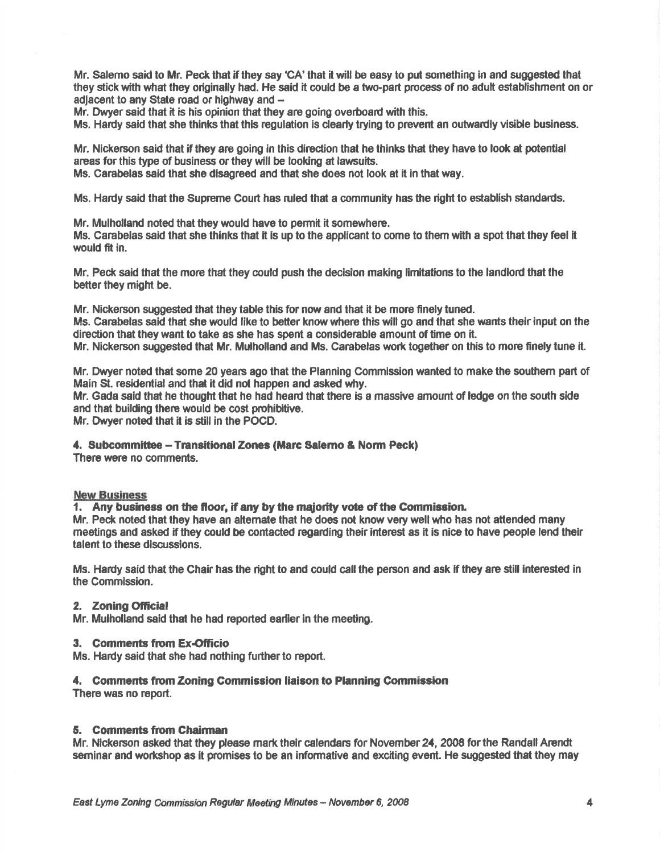Mr. Salemo said to Mr. Peck that if they say 'CA' that it will be easy to put something in and suggested that they stick with what they originally had. He said it could be a two-part process of no adult establishment on or adjacent to any State road or highway and  $-$ 

Mr. Dwyer said that it is his opinion that they are going overboard with this.

Ms. Hardy said that she thinks that this regulation is clearly trying to prevent an outwardly visible business.

Mr. Nickerson said that if they are going in this direction that he thinks that they have to look at potential areas for this type of business or they will be looking at lawsuits.

Ms. Carabeles said that she disagreed and that she does not look at it in that way.

Ms. Hardy said that the Supreme Court has ruled that a community has the right to establish standards.

Mr. Mulholland noted that they would have to permit it somewhere.

Ms. Carabelas said that she thinks that il is up to the applicant to come to them with a spot that they feel it would fit in.

Mr, Peck said that the more that they could push the decision making limitations to the landlord that the better they might be.

Mr. Nickerson suggested that they table this for now and that it be more finely tuned. Ms. Carabelas said that she would like to better know where this will go and that she wants their input on the direction that they want to take as she has spent a considerable amount of time on it. Mr. Nickerson suggested that Mr. Mulholland and Ms. Garabelas work together on this to morc finely tune it.

Mr. Dwyer noted that some 20 years ago that the Planning Commission wanted to make the southem part of Main St. residential and that it did not happen and asked why.

Mr. Gada said that he thought that he had heard that there is a massive amount of ledge on the south side and that building there would be cost prohibitive.

Mr. Dwyer noted that it is stiil in the POGD.

4. Subcommittee - Transitional Zones (Marc Salerno & Norm Peck)

There were no comments.

#### New Business

1. Any business on the floor, if any by the majority vote of the Commission.

Mr. Peck noted that they have an aftemate that he does not know very well who has not attended many meetings and asked if they could be contacted regarding their interest as it is nice to have people lend their telent to these discussions.

Ms. Hardy said that the Chair has the right to and could call the person and ask if they are still interested in the Commission.

## 2. Zoning Official

Mr. Mulholland seid that he had reported earller in the meeting.

## 3. Comments from Ex-Officio

Ms. Hardy said that she had nothing further to report.

## 4. Comments from Zoning Commission liaison to Planning Commission

There was no report.

## 5. Comments from Chairman

Mr. Nickerson asked that they please mark their calendars for November 24, 2008 for the Randall Arendt seminar and workshop as it promises to be an informative and exciting event. He suggested that they may